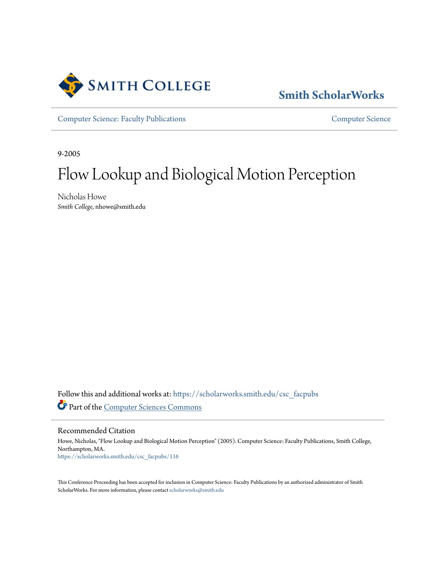

# **[Smith ScholarWorks](https://scholarworks.smith.edu/?utm_source=scholarworks.smith.edu%2Fcsc_facpubs%2F116&utm_medium=PDF&utm_campaign=PDFCoverPages)**

[Computer Science: Faculty Publications](https://scholarworks.smith.edu/csc_facpubs?utm_source=scholarworks.smith.edu%2Fcsc_facpubs%2F116&utm_medium=PDF&utm_campaign=PDFCoverPages) [Computer Science](https://scholarworks.smith.edu/csc?utm_source=scholarworks.smith.edu%2Fcsc_facpubs%2F116&utm_medium=PDF&utm_campaign=PDFCoverPages)

9-2005

# Flow Lookup and Biological Motion Perception

Nicholas Howe *Smith College*, nhowe@smith.edu

Follow this and additional works at: [https://scholarworks.smith.edu/csc\\_facpubs](https://scholarworks.smith.edu/csc_facpubs?utm_source=scholarworks.smith.edu%2Fcsc_facpubs%2F116&utm_medium=PDF&utm_campaign=PDFCoverPages) Part of the [Computer Sciences Commons](http://network.bepress.com/hgg/discipline/142?utm_source=scholarworks.smith.edu%2Fcsc_facpubs%2F116&utm_medium=PDF&utm_campaign=PDFCoverPages)

Recommended Citation

Howe, Nicholas, "Flow Lookup and Biological Motion Perception" (2005). Computer Science: Faculty Publications, Smith College, Northampton, MA. [https://scholarworks.smith.edu/csc\\_facpubs/116](https://scholarworks.smith.edu/csc_facpubs/116?utm_source=scholarworks.smith.edu%2Fcsc_facpubs%2F116&utm_medium=PDF&utm_campaign=PDFCoverPages)

This Conference Proceeding has been accepted for inclusion in Computer Science: Faculty Publications by an authorized administrator of Smith ScholarWorks. For more information, please contact [scholarworks@smith.edu](mailto:scholarworks@smith.edu)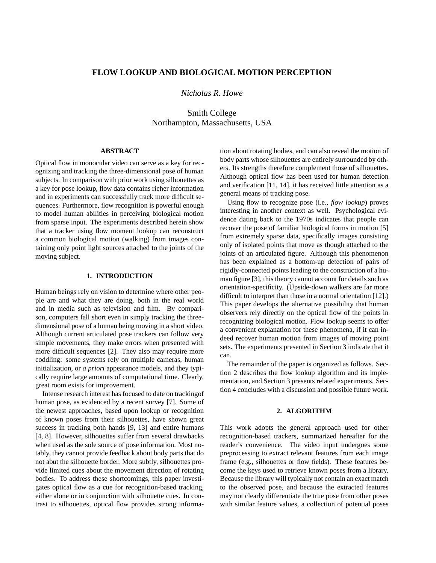## **FLOW LOOKUP AND BIOLOGICAL MOTION PERCEPTION**

*Nicholas R. Howe*

Smith College Northampton, Massachusetts, USA

#### **ABSTRACT**

Optical flow in monocular video can serve as a key for recognizing and tracking the three-dimensional pose of human subjects. In comparison with prior work using silhouettes as a key for pose lookup, flow data contains richer information and in experiments can successfully track more difficult sequences. Furthermore, flow recognition is powerful enough to model human abilities in perceiving biological motion from sparse input. The experiments described herein show that a tracker using flow moment lookup can reconstruct a common biological motion (walking) from images containing only point light sources attached to the joints of the moving subject.

#### **1. INTRODUCTION**

Human beings rely on vision to determine where other people are and what they are doing, both in the real world and in media such as television and film. By comparison, computers fall short even in simply tracking the threedimensional pose of a human being moving in a short video. Although current articulated pose trackers can follow very simple movements, they make errors when presented with more difficult sequences [2]. They also may require more coddling: some systems rely on multiple cameras, human initialization, or *a priori* appearance models, and they typically require large amounts of computational time. Clearly, great room exists for improvement.

Intense research interest has focused to date on trackingof human pose, as evidenced by a recent survey [7]. Some of the newest approaches, based upon lookup or recognition of known poses from their silhouettes, have shown great success in tracking both hands [9, 13] and entire humans [4, 8]. However, silhouettes suffer from several drawbacks when used as the sole source of pose information. Most notably, they cannot provide feedback about body parts that do not abut the silhouette border. More subtly, silhouettes provide limited cues about the movement direction of rotating bodies. To address these shortcomings, this paper investigates optical flow as a cue for recognition-based tracking, either alone or in conjunction with silhouette cues. In contrast to silhouettes, optical flow provides strong information about rotating bodies, and can also reveal the motion of body parts whose silhouettes are entirely surrounded by others. Its strengths therefore complement those of silhouettes. Although optical flow has been used for human detection and verification [11, 14], it has received little attention as a general means of tracking pose.

Using flow to recognize pose (i.e., *flow lookup*) proves interesting in another context as well. Psychological evidence dating back to the 1970s indicates that people can recover the pose of familiar biological forms in motion [5] from extremely sparse data, specifically images consisting only of isolated points that move as though attached to the joints of an articulated figure. Although this phenomenon has been explained as a bottom-up detection of pairs of rigidly-connected points leading to the construction of a human figure [3], this theory cannot account for details such as orientation-specificity. (Upside-down walkers are far more difficult to interpret than those in a normal orientation [12].) This paper develops the alternative possibility that human observers rely directly on the optical flow of the points in recognizing biological motion. Flow lookup seems to offer a convenient explanation for these phenomena, if it can indeed recover human motion from images of moving point sets. The experiments presented in Section 3 indicate that it can.

The remainder of the paper is organized as follows. Section 2 describes the flow lookup algorithm and its implementation, and Section 3 presents related experiments. Section 4 concludes with a discussion and possible future work.

### **2. ALGORITHM**

This work adopts the general approach used for other recognition-based trackers, summarized hereafter for the reader's convenience. The video input undergoes some preprocessing to extract relevant features from each image frame (e.g., silhouettes or flow fields). These features become the keys used to retrieve known poses from a library. Because the library will typically not contain an exact match to the observed pose, and because the extracted features may not clearly differentiate the true pose from other poses with similar feature values, a collection of potential poses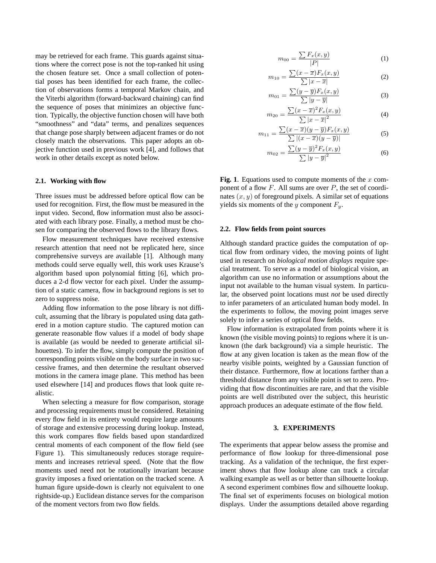may be retrieved for each frame. This guards against situations where the correct pose is not the top-ranked hit using the chosen feature set. Once a small collection of potential poses has been identified for each frame, the collection of observations forms a temporal Markov chain, and the Viterbi algorithm (forward-backward chaining) can find the sequence of poses that minimizes an objective function. Typically, the objective function chosen will have both "smoothness" and "data" terms, and penalizes sequences that change pose sharply between adjacent frames or do not closely match the observations. This paper adopts an objective function used in previous work [4], and follows that work in other details except as noted below.

#### **2.1. Working with flow**

Three issues must be addressed before optical flow can be used for recognition. First, the flow must be measured in the input video. Second, flow information must also be associated with each library pose. Finally, a method must be chosen for comparing the observed flows to the library flows.

Flow measurement techniques have received extensive research attention that need not be replicated here, since comprehensive surveys are available [1]. Although many methods could serve equally well, this work uses Krause's algorithm based upon polynomial fitting [6], which produces a 2-d flow vector for each pixel. Under the assumption of a static camera, flow in background regions is set to zero to suppress noise.

Adding flow information to the pose library is not difficult, assuming that the library is populated using data gathered in a motion capture studio. The captured motion can generate reasonable flow values if a model of body shape is available (as would be needed to generate artificial silhouettes). To infer the flow, simply compute the position of corresponding points visible on the body surface in two successive frames, and then determine the resultant observed motions in the camera image plane. This method has been used elsewhere [14] and produces flows that look quite realistic.

When selecting a measure for flow comparison, storage and processing requirements must be considered. Retaining every flow field in its entirety would require large amounts of storage and extensive processing during lookup. Instead, this work compares flow fields based upon standardized central moments of each component of the flow field (see Figure 1). This simultaneously reduces storage requirements and increases retrieval speed. (Note that the flow moments used need not be rotationally invariant because gravity imposes a fixed orientation on the tracked scene. A human figure upside-down is clearly not equivalent to one rightside-up.) Euclidean distance serves for the comparison of the moment vectors from two flow fields.

$$
m_{00} = \frac{\sum F_x(x, y)}{|P|} \tag{1}
$$

$$
m_{10} = \frac{\sum (x - \overline{x}) F_x(x, y)}{\sum |x - \overline{x}|} \tag{2}
$$

$$
m_{01} = \frac{\sum (y - \overline{y}) F_x(x, y)}{\sum |y - \overline{y}|}
$$
(3)

$$
m_{20} = \frac{\sum (x - \overline{x})^2 F_x(x, y)}{\sum |x - \overline{x}|^2}
$$
 (4)

$$
m_{11} = \frac{\sum (x - \overline{x})(y - \overline{y})F_x(x, y)}{\sum |(x - \overline{x})(y - \overline{y})|}
$$
(5)

$$
m_{02} = \frac{\sum (y - \overline{y})^2 F_x(x, y)}{\sum |y - \overline{y}|^2}
$$
 (6)

**Fig. 1**. Equations used to compute moments of the  $x$  component of a flow  $F$ . All sums are over  $P$ , the set of coordinates  $(x, y)$  of foreground pixels. A similar set of equations yields six moments of the y component  $F_y$ .

#### **2.2. Flow fields from point sources**

Although standard practice guides the computation of optical flow from ordinary video, the moving points of light used in research on *biological motion displays* require special treatment. To serve as a model of biological vision, an algorithm can use no information or assumptions about the input not available to the human visual system. In particular, the observed point locations must *not* be used directly to infer parameters of an articulated human body model. In the experiments to follow, the moving point images serve solely to infer a series of optical flow fields.

Flow information is extrapolated from points where it is known (the visible moving points) to regions where it is unknown (the dark background) via a simple heuristic. The flow at any given location is taken as the mean flow of the nearby visible points, weighted by a Gaussian function of their distance. Furthermore, flow at locations farther than a threshold distance from any visible point is set to zero. Providing that flow discontinuities are rare, and that the visible points are well distributed over the subject, this heuristic approach produces an adequate estimate of the flow field.

#### **3. EXPERIMENTS**

The experiments that appear below assess the promise and performance of flow lookup for three-dimensional pose tracking. As a validation of the technique, the first experiment shows that flow lookup alone can track a circular walking example as well as or better than silhouette lookup. A second experiment combines flow and silhouette lookup. The final set of experiments focuses on biological motion displays. Under the assumptions detailed above regarding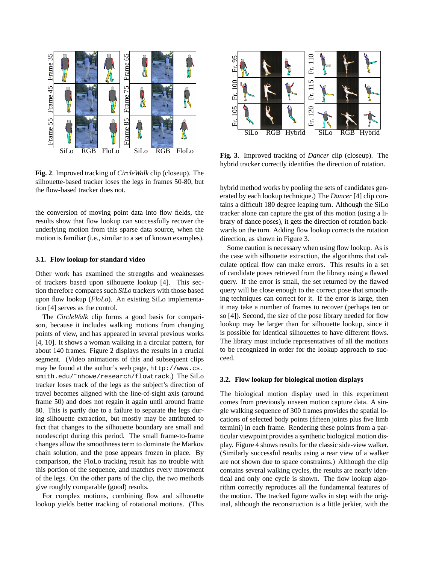

**Fig. 2**. Improved tracking of *CircleWalk* clip (closeup). The silhouette-based tracker loses the legs in frames 50-80, but the flow-based tracker does not.

the conversion of moving point data into flow fields, the results show that flow lookup can successfully recover the underlying motion from this sparse data source, when the motion is familiar (i.e., similar to a set of known examples).

#### **3.1. Flow lookup for standard video**

Other work has examined the strengths and weaknesses of trackers based upon silhouette lookup [4]. This section therefore compares such *SiLo* trackers with those based upon flow lookup (*FloLo*). An existing SiLo implementation [4] serves as the control.

The *CircleWalk* clip forms a good basis for comparison, because it includes walking motions from changing points of view, and has appeared in several previous works [4, 10]. It shows a woman walking in a circular pattern, for about 140 frames. Figure 2 displays the results in a crucial segment. (Video animations of this and subsequent clips may be found at the author's web page, http://www.cs. smith.edu/˜nhowe/research/flowtrack.) The SiLo tracker loses track of the legs as the subject's direction of travel becomes aligned with the line-of-sight axis (around frame 50) and does not regain it again until around frame 80. This is partly due to a failure to separate the legs during silhouette extraction, but mostly may be attributed to fact that changes to the silhouette boundary are small and nondescript during this period. The small frame-to-frame changes allow the smoothness term to dominate the Markov chain solution, and the pose appears frozen in place. By comparison, the FloLo tracking result has no trouble with this portion of the sequence, and matches every movement of the legs. On the other parts of the clip, the two methods give roughly comparable (good) results.

For complex motions, combining flow and silhouette lookup yields better tracking of rotational motions. (This



**Fig. 3**. Improved tracking of *Dancer* clip (closeup). The hybrid tracker correctly identifies the direction of rotation.

hybrid method works by pooling the sets of candidates generated by each lookup technique.) The *Dancer* [4] clip contains a difficult 180 degree leaping turn. Although the SiLo tracker alone can capture the gist of this motion (using a library of dance poses), it gets the direction of rotation backwards on the turn. Adding flow lookup corrects the rotation direction, as shown in Figure 3.

Some caution is necessary when using flow lookup. As is the case with silhouette extraction, the algorithms that calculate optical flow can make errors. This results in a set of candidate poses retrieved from the library using a flawed query. If the error is small, the set returned by the flawed query will be close enough to the correct pose that smoothing techniques can correct for it. If the error is large, then it may take a number of frames to recover (perhaps ten or so [4]). Second, the size of the pose library needed for flow lookup may be larger than for silhouette lookup, since it is possible for identical silhouettes to have different flows. The library must include representatives of all the motions to be recognized in order for the lookup approach to succeed.

#### **3.2. Flow lookup for biological motion displays**

The biological motion display used in this experiment comes from previously unseen motion capture data. A single walking sequence of 300 frames provides the spatial locations of selected body points (fifteen joints plus five limb termini) in each frame. Rendering these points from a particular viewpoint provides a synthetic biological motion display. Figure 4 shows results for the classic side-view walker. (Similarly successful results using a rear view of a walker are not shown due to space constraints.) Although the clip contains several walking cycles, the results are nearly identical and only one cycle is shown. The flow lookup algorithm correctly reproduces all the fundamental features of the motion. The tracked figure walks in step with the original, although the reconstruction is a little jerkier, with the